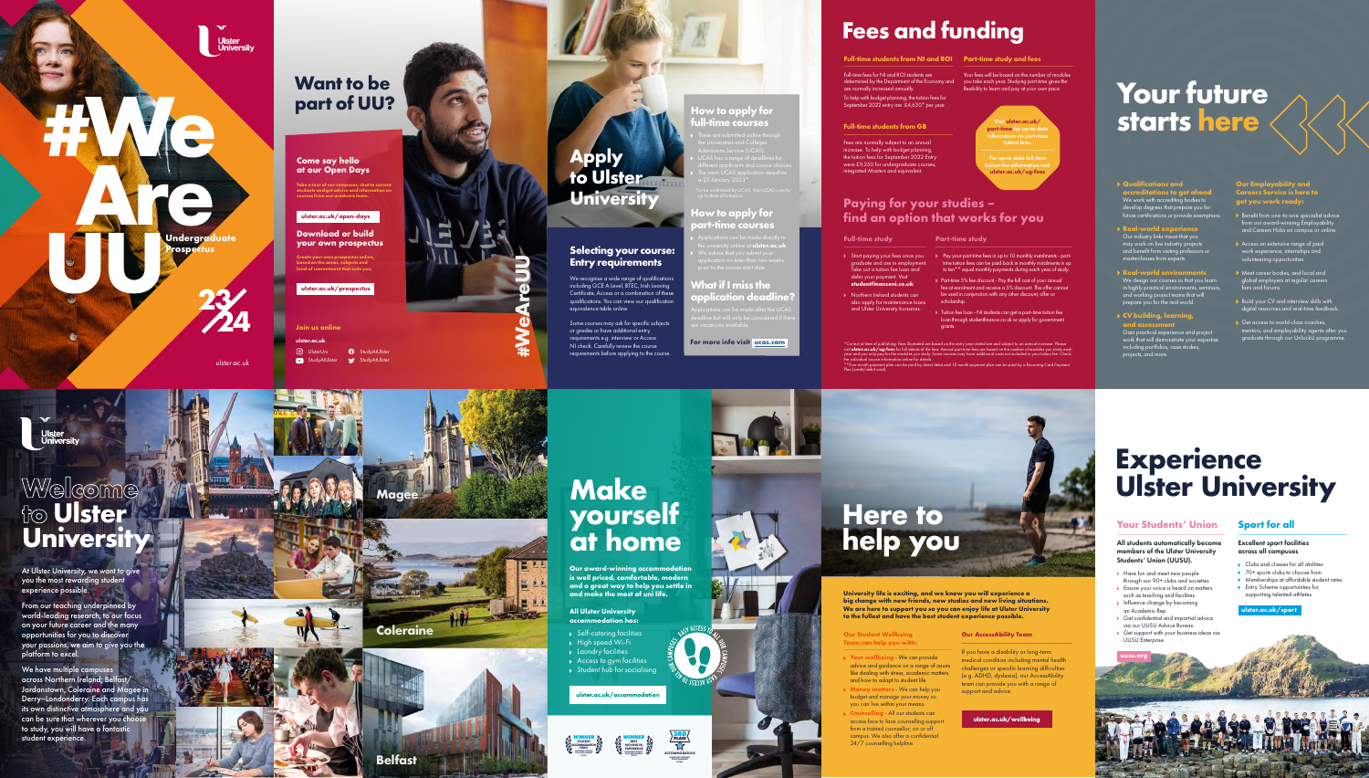**Our award-winning accommodation is well priced, comfortable, modern**  way to help **y and make the most of uni life.** 

**All Ulster University accommodation has:** 

**Self-catering facilities** ◆ High speed Wi-Fi **A** Laundry facilities Access to gym facilities

Student hub for socialising

ulster.ac.uk/accommodation

### **Make yourself at home**

- Have fun and meet new people through our 90+ clubs and societies
- such as teaching and facilities
- Influence change by becoming an Academic Rep Get confidential and impartial advice
- via our UUSU Advice Bureau Get support with your business ideas via
- UUSU Enterprise

All students automatically become members of the Ulster University Students' Union (UUSU).

- Clubs and classes for all abilities
- **▶ 70+ sports clubs to choose from**
- Memberships at affordable student rates
- Entry Scheme opportunities for supporting talented athletes

Ensure your voice is heard on matters

#### **Your Students' Union** \_\_\_\_\_\_\_\_\_\_\_\_\_\_\_\_\_\_\_\_\_\_\_\_\_\_\_\_\_\_\_\_\_\_ \_\_\_\_\_\_\_\_\_\_\_\_\_\_\_\_\_\_\_\_\_\_\_\_\_\_\_\_\_\_\_\_\_\_

- **Your wellbeing** We can provide advice and guidance on a range of issues like dealing with stress, academic matters and how to adapt to student life.
- **Money matters** We can help you budget and manage your money so you can live within your means.
- **Counselling** All our students can access face to face counselling support from a trained counsellor, on or off campus. We also offer a confidential 24/7 counselling helpline.

#### **Sport for all**

#### Excellent sport facilities across all campuses

### **Experience Ulster University**

**[ulster.ac.uk/sport](http://ulster.ac.uk/sport)**

### Welcome<br>to **Ulster University**



**University life is exciting, and we know you will experience a big change with new friends, new studies and new living situations. We are here to support you so you can enjoy life at Ulster University to the fullest and have the best student experience possible.**

We have multiple campuses across Northern Ireland; Belfast/ Jordanstown, Coleraine and Magee in Derry~Londonderry. Each campus has its own distinctive atmosphere and you can be sure that wherever you choose to study, you will have a fantasti student experience.

#### **Our Student Wellbeing Team can help you with:**  \_\_\_\_\_\_\_\_\_\_\_\_\_\_\_\_\_\_\_\_\_\_\_\_\_\_\_\_\_\_\_\_\_\_



Ne your own prospectus online,<br>
d on the areas, subjects and<br>
of commitment that suits you.<br>
Ster.ac.uk/prospectus<br>
1 US online<br>
n.ac.uk<br>
UlsterUni **?** StudyAtUlster StudyAtUlster **C** StudyAtUlster StudyAtUlster **Join us online [ulster.ac.uk](http://ulster.ac.uk)**

**Ulster<br>University** 

#### **Our AccessAbility Team**

We recognise a wide range of qualifications including GCE A Level, BTEC, Irish Leaving Certificate, Access or a combination of these qualifications. You can view our qualification equivalence table online. Some courses may ask for specific subjects

\_\_\_\_\_\_\_\_\_\_\_\_\_\_\_\_\_\_\_\_\_\_\_\_\_\_\_\_\_\_\_\_\_\_

#### ulster.ac.uk/wellbeing

If you have a disability or long-term medical condition including mental health challenges or specific learning difficulties (e.g. ADHD, dyslexia), our AccessAbility team can provide you with a range of support and advice.

At Ulster University, we want to give you the most rewarding student experience possible.

From our teaching underpinned by world-leading research, to our focus on your future career and the many opportunities for you to discover your passions, we aim to give you the platform to excel.



(2021)



CHOICE AWARDS (2020)

**3RD PLACE**







#### **Come say hello at our Open Days**

**Take a tour of our campuses, chat to current students and get advice and information on courses from our academic team.** 

**Download or build your own prospectus**

**Create your own prospectus online, based on the areas, subjects and level of commitment that suits you.**

**[ulster.ac.uk/prospectus](http://ulster.ac.uk/prospectus)**

**[ulster.ac.uk/open-days](http://ulster.ac.uk/open-days)**

**#We**

**1999** 

Undergraduate<br>**Prospectus**<br>©

\*Correct at time of publishing. Fees illustrated are based on the entry year stated are and subject to an annual increase. Please<br>visit **[ulster.ac.uk/ug-fees](http://ulster.ac.uk/ug-fees)** for full details of the fees. Annual part-time fees are based o year and you only pay for the modules you study. Some courses may have additional costs not included in your tuition fee. Check

 $\epsilon$  an be paid by direct debit and 10 month payment plan can be paid by

**Prospectus**

[ulster.ac.uk](http://ulster.ac.uk)

**23**

**24**

**Ulster<br>University** 

#### **Selecting your course: Entry requirements**

or grades or have additional entry requirements e.g. interview or Access NI check. Carefully review the course requirements before applying to the course.

### **Apply to Ulster University**

#### **How to apply for full-time courses**

- These are submitted online through the Universities and Colleges
- UCAS has a range of deadlines for different applicants and course choices. The main UCAS application deadline
- is 25 January 2023\*

#### **How to apply for part-time courses**

the university online at **[ulster.ac.uk](http://ulster.ac.uk)** 

#### **What if I miss the application deadline?**

Applications can be made after the UCAS

**For more info visit [ucas.com](http://ucas.com)**

**Full-time students from NI and ROI Part-time study and fees**  \_\_\_\_\_\_\_\_\_\_\_\_\_\_\_\_\_\_\_\_\_\_\_\_\_\_\_\_\_\_\_\_\_\_\_\_

Full-time fees for NI and ROI students are determined by the Department of the Economy and are normally increased annually. To help with budget planning, the tuition fees for September 2022 entry are: £4,630\* per year.

#### **Full-time students from GB**

Fees are normally subject to an annual increase. To help with budget planning, the tuition fees for September 2022 Entry were £9,250 for undergraduate courses, integrated Masters and equivalent.

#### \_\_\_\_\_\_\_\_\_\_\_\_\_\_\_\_\_\_\_\_\_\_\_\_\_\_\_\_\_\_\_\_\_\_\_\_

Your fees will be based on the number of modules you take each year. Studying part-time gives the flexibility to learn and pay at your own pace.

#### **Full-time study**

- Start paying your fees once you Pay your part-time fees in up to 10 monthly instalments partgraduate and are in employment. Take out a tuition fee loan and defer your payment. Visit **[studentfinanceni.co.uk](http://studentfinanceni.co.uk)**
- Northern Ireland students can also apply for maintenance loans and Ulster University bursaries.

**Part-time study**

scholarship

time tuition fees can be paid back in monthly instalments in up to ten\*\* equal monthly payments during each year of study. Part-time 5% fee discount - Pay the full cost of your annual fee at enrolment and receive a 5% discount. This offer cannot be used in conjunction with any other discount, offer or

 $\blacktriangleright$  Tuition fee loan - NI students can get a part-time tuition fee loan through studentfinance.co.uk or apply for government

grants.

### **Fees and funding**

#### **Paying for your studies – find an option that works for you**

Visit **[ulster.ac.uk/](http://ulster.ac.uk/part-time) [part-time](http://ulster.ac.uk/part-time)** for up-to-date information on part-time tuition fees. For up-to-date full-time tuition fee information visit

 $\overline{\phantom{a}}$  , which is a set of the set of the set of the set of the set of the set of the set of the set of the set of the set of the set of the set of the set of the set of the set of the set of the set of the set of th

# **[ulster.ac.uk/ug-fees](http://ulster.ac.uk/ug-fees)**

the individual course information online for details.

Plan (credit/debit card).

#### **Our Employability and Careers Service is here to get you work ready:**

- Benefit from one-to-one specialist advice from our award-winning Employability and Careers Hubs on campus or online.
- Access an extensive range of paid work experience, internships and volunteering opportunities.
- Meet career bodies, and local and global employers at regular careers fairs and forums.
- $\blacktriangleright$  Build your CV and interview skills with digital resources and real-time feedback.
- Get access to world-class coaches, mentors, and employability agents after you graduate through our UnlockU programme.

#### **Qualifications and**

**accreditations to get ahead**  We work with accrediting bodies to develop degrees that prepare you for

#### future certifications or provide exemptions. **Real-world experience** Our industry links mean that you may work on live industry projects

and benefit from visiting professors or masterclasses from experts.

prepare you for the real world.

- **Real-world environments** We design our courses so that you learn in highly practical environments, seminars, and working project teams that will
- **CV building, learning, and assessment**  Gain practical experience and project work that will demonstrate your expertise including portfolios, case studies, projects, and more.

### **Your future starts here**